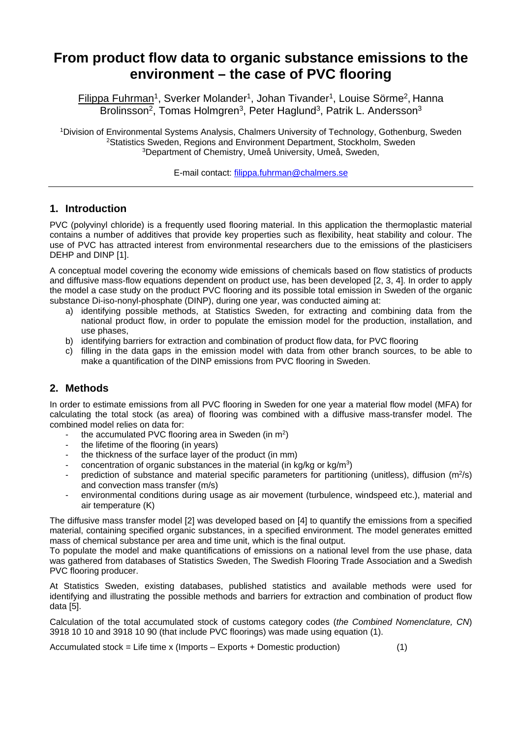# **From product flow data to organic substance emissions to the environment – the case of PVC flooring**

Filippa Fuhrman<sup>1</sup>, Sverker Molander<sup>1</sup>, Johan Tivander<sup>1</sup>, Louise Sörme<sup>2</sup>, Hanna Brolinsson<sup>2</sup>, Tomas Holmgren<sup>3</sup>, Peter Haglund<sup>3</sup>, Patrik L. Andersson<sup>3</sup>

1Division of Environmental Systems Analysis, Chalmers University of Technology, Gothenburg, Sweden <sup>2</sup>Statistics Sweden, Regions and Environment Department, Stockholm, Sweden 3Department of Chemistry, Umeå University, Umeå, Sweden,

E-mail contact: filippa.fuhrman@chalmers.se

# **1. Introduction**

PVC (polyvinyl chloride) is a frequently used flooring material. In this application the thermoplastic material contains a number of additives that provide key properties such as flexibility, heat stability and colour. The use of PVC has attracted interest from environmental researchers due to the emissions of the plasticisers DEHP and DINP [1].

A conceptual model covering the economy wide emissions of chemicals based on flow statistics of products and diffusive mass-flow equations dependent on product use, has been developed [2, 3, 4]. In order to apply the model a case study on the product PVC flooring and its possible total emission in Sweden of the organic substance Di-iso-nonyl-phosphate (DINP), during one year, was conducted aiming at:

- a) identifying possible methods, at Statistics Sweden, for extracting and combining data from the national product flow, in order to populate the emission model for the production, installation, and use phases,
- b) identifying barriers for extraction and combination of product flow data, for PVC flooring
- c) filling in the data gaps in the emission model with data from other branch sources, to be able to make a quantification of the DINP emissions from PVC flooring in Sweden.

# **2. Methods**

In order to estimate emissions from all PVC flooring in Sweden for one year a material flow model (MFA) for calculating the total stock (as area) of flooring was combined with a diffusive mass-transfer model. The combined model relies on data for:

- the accumulated PVC flooring area in Sweden (in m<sup>2</sup>)
- the lifetime of the flooring (in years)
- the thickness of the surface layer of the product (in mm)
- concentration of organic substances in the material (in kg/kg or kg/m3)
- prediction of substance and material specific parameters for partitioning (unitless), diffusion ( $m^2/s$ ) and convection mass transfer (m/s)
- environmental conditions during usage as air movement (turbulence, windspeed etc.), material and air temperature (K)

The diffusive mass transfer model [2] was developed based on [4] to quantify the emissions from a specified material, containing specified organic substances, in a specified environment. The model generates emitted mass of chemical substance per area and time unit, which is the final output.

To populate the model and make quantifications of emissions on a national level from the use phase, data was gathered from databases of Statistics Sweden, The Swedish Flooring Trade Association and a Swedish PVC flooring producer.

At Statistics Sweden, existing databases, published statistics and available methods were used for identifying and illustrating the possible methods and barriers for extraction and combination of product flow data [5].

Calculation of the total accumulated stock of customs category codes (*the Combined Nomenclature, CN*) 3918 10 10 and 3918 10 90 (that include PVC floorings) was made using equation (1).

 $Accumulated stock = Life time × (Imports – Exports + Domestic production)$  (1)